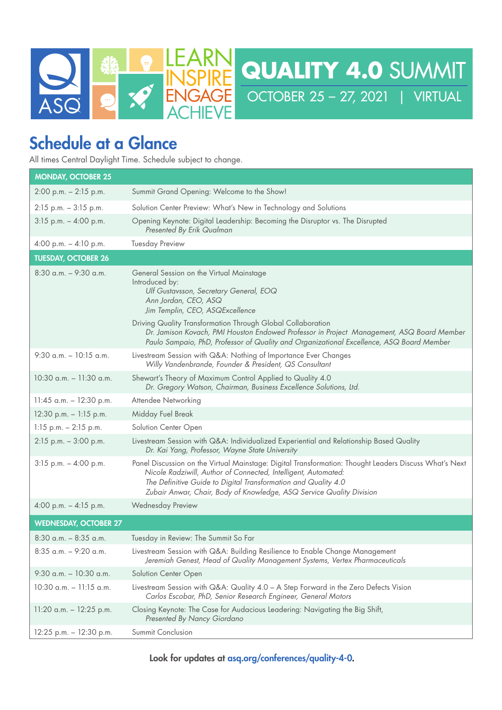

# Schedule at a Glance

All times Central Daylight Time. Schedule subject to change.

| <b>MONDAY, OCTOBER 25</b>    |                                                                                                                                                                                                                                                                                                                    |
|------------------------------|--------------------------------------------------------------------------------------------------------------------------------------------------------------------------------------------------------------------------------------------------------------------------------------------------------------------|
| $2:00$ p.m. $-2:15$ p.m.     | Summit Grand Opening: Welcome to the Show!                                                                                                                                                                                                                                                                         |
| $2:15$ p.m. $-3:15$ p.m.     | Solution Center Preview: What's New in Technology and Solutions                                                                                                                                                                                                                                                    |
| 3:15 p.m. - 4:00 p.m.        | Opening Keynote: Digital Leadership: Becoming the Disruptor vs. The Disrupted<br>Presented By Erik Qualman                                                                                                                                                                                                         |
| 4:00 p.m. $-$ 4:10 p.m.      | <b>Tuesday Preview</b>                                                                                                                                                                                                                                                                                             |
| <b>TUESDAY, OCTOBER 26</b>   |                                                                                                                                                                                                                                                                                                                    |
| $8:30$ a.m. $-$ 9:30 a.m.    | General Session on the Virtual Mainstage<br>Introduced by:<br>Ulf Gustavsson, Secretary General, EOQ<br>Ann Jordan, CEO, ASQ<br>Jim Templin, CEO, ASQExcellence                                                                                                                                                    |
|                              | Driving Quality Transformation Through Global Collaboration<br>Dr. Jamison Kovach, PMI Houston Endowed Professor in Project Management, ASQ Board Member<br>Paulo Sampaio, PhD, Professor of Quality and Organizational Excellence, ASQ Board Member                                                               |
| 9:30 a.m. $-10:15$ a.m.      | Livestream Session with Q&A: Nothing of Importance Ever Changes<br>Willy Vandenbrande, Founder & President, QS Consultant                                                                                                                                                                                          |
| 10:30 a.m. - 11:30 a.m.      | Shewart's Theory of Maximum Control Applied to Quality 4.0<br>Dr. Gregory Watson, Chairman, Business Excellence Solutions, Ltd.                                                                                                                                                                                    |
| $11:45$ a.m. $- 12:30$ p.m.  | Attendee Networking                                                                                                                                                                                                                                                                                                |
| 12:30 p.m. $- 1:15$ p.m.     | Midday Fuel Break                                                                                                                                                                                                                                                                                                  |
| $1:15$ p.m. $-2:15$ p.m.     | Solution Center Open                                                                                                                                                                                                                                                                                               |
| 2:15 p.m. - 3:00 p.m.        | Livestream Session with Q&A: Individualized Experiential and Relationship Based Quality<br>Dr. Kai Yang, Professor, Wayne State University                                                                                                                                                                         |
| 3:15 p.m. - 4:00 p.m.        | Panel Discussion on the Virtual Mainstage: Digital Transformation: Thought Leaders Discuss What's Next<br>Nicole Radziwill, Author of Connected, Intelligent, Automated:<br>The Definitive Guide to Digital Transformation and Quality 4.0<br>Zubair Anwar, Chair, Body of Knowledge, ASQ Service Quality Division |
| 4:00 p.m. $-$ 4:15 p.m.      | <b>Wednesday Preview</b>                                                                                                                                                                                                                                                                                           |
| <b>WEDNESDAY, OCTOBER 27</b> |                                                                                                                                                                                                                                                                                                                    |
| $8:30$ a.m. $-8:35$ a.m.     | Tuesday in Review: The Summit So Far                                                                                                                                                                                                                                                                               |
| 8:35 a.m. - 9:20 a.m.        | Livestream Session with Q&A: Building Resilience to Enable Change Management<br>Jeremiah Genest, Head of Quality Management Systems, Vertex Pharmaceuticals                                                                                                                                                        |
| 9:30 a.m. $-10:30$ a.m.      | Solution Center Open                                                                                                                                                                                                                                                                                               |
| $10:30$ a.m. $-11:15$ a.m.   | Livestream Session with Q&A: Quality 4.0 - A Step Forward in the Zero Defects Vision<br>Carlos Escobar, PhD, Senior Research Engineer, General Motors                                                                                                                                                              |
| $11:20$ a.m. $- 12:25$ p.m.  | Closing Keynote: The Case for Audacious Leadering: Navigating the Big Shift,<br>Presented By Nancy Giordano                                                                                                                                                                                                        |
| 12:25 p.m. - 12:30 p.m.      | Summit Conclusion                                                                                                                                                                                                                                                                                                  |

Look for updates at asq.org/conferences/quality-4-0.